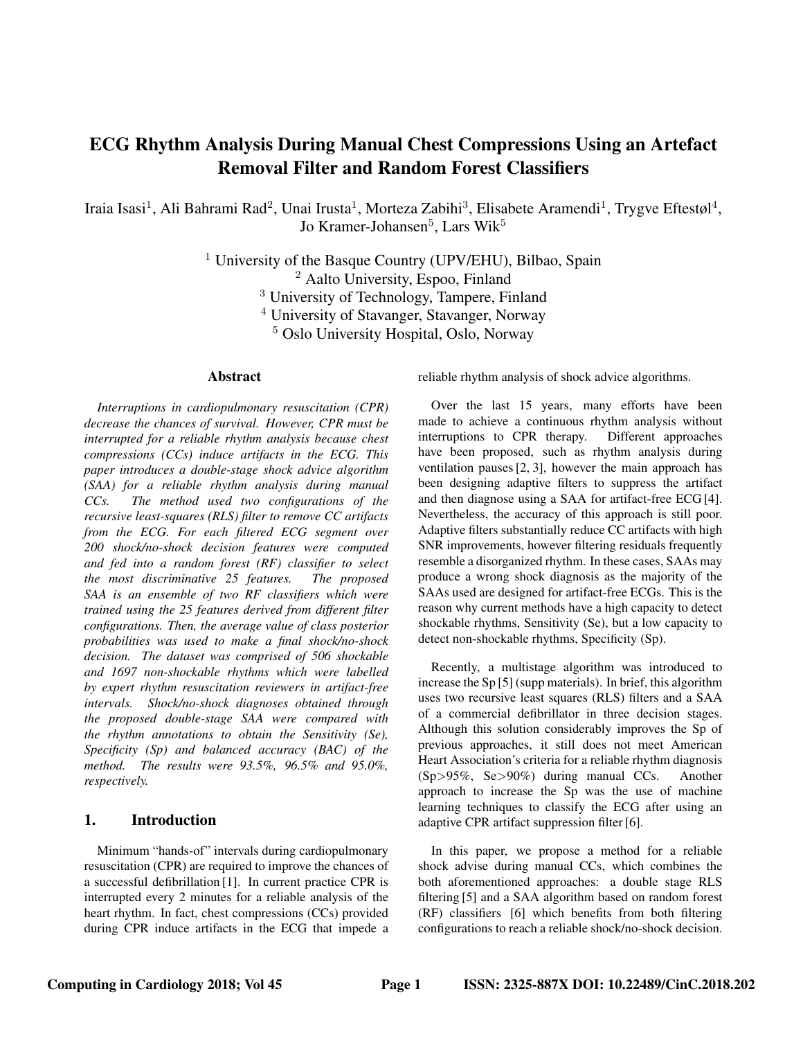# ECG Rhythm Analysis During Manual Chest Compressions Using an Artefact Removal Filter and Random Forest Classifiers

Iraia Isasi<sup>1</sup>, Ali Bahrami Rad<sup>2</sup>, Unai Irusta<sup>1</sup>, Morteza Zabihi<sup>3</sup>, Elisabete Aramendi<sup>1</sup>, Trygve Eftestøl<sup>4</sup>, Jo Kramer-Johansen $^5$ , Lars Wik $^5$ 

> <sup>1</sup> University of the Basque Country (UPV/EHU), Bilbao, Spain <sup>2</sup> Aalto University, Espoo, Finland <sup>3</sup> University of Technology, Tampere, Finland <sup>4</sup> University of Stavanger, Stavanger, Norway <sup>5</sup> Oslo University Hospital, Oslo, Norway

### Abstract

*Interruptions in cardiopulmonary resuscitation (CPR) decrease the chances of survival. However, CPR must be interrupted for a reliable rhythm analysis because chest compressions (CCs) induce artifacts in the ECG. This paper introduces a double-stage shock advice algorithm (SAA) for a reliable rhythm analysis during manual CCs. The method used two configurations of the recursive least-squares (RLS) filter to remove CC artifacts from the ECG. For each filtered ECG segment over 200 shock/no-shock decision features were computed and fed into a random forest (RF) classifier to select the most discriminative 25 features. The proposed SAA is an ensemble of two RF classifiers which were trained using the 25 features derived from different filter configurations. Then, the average value of class posterior probabilities was used to make a final shock/no-shock decision. The dataset was comprised of 506 shockable and 1697 non-shockable rhythms which were labelled by expert rhythm resuscitation reviewers in artifact-free intervals. Shock/no-shock diagnoses obtained through the proposed double-stage SAA were compared with the rhythm annotations to obtain the Sensitivity (Se), Specificity (Sp) and balanced accuracy (BAC) of the method. The results were 93.5%, 96.5% and 95.0%, respectively.*

# 1. Introduction

Minimum "hands-of" intervals during cardiopulmonary resuscitation (CPR) are required to improve the chances of a successful defibrillation [1]. In current practice CPR is interrupted every 2 minutes for a reliable analysis of the heart rhythm. In fact, chest compressions (CCs) provided during CPR induce artifacts in the ECG that impede a reliable rhythm analysis of shock advice algorithms.

Over the last 15 years, many efforts have been made to achieve a continuous rhythm analysis without interruptions to CPR therapy. Different approaches have been proposed, such as rhythm analysis during ventilation pauses [2, 3], however the main approach has been designing adaptive filters to suppress the artifact and then diagnose using a SAA for artifact-free ECG [4]. Nevertheless, the accuracy of this approach is still poor. Adaptive filters substantially reduce CC artifacts with high SNR improvements, however filtering residuals frequently resemble a disorganized rhythm. In these cases, SAAs may produce a wrong shock diagnosis as the majority of the SAAs used are designed for artifact-free ECGs. This is the reason why current methods have a high capacity to detect shockable rhythms, Sensitivity (Se), but a low capacity to detect non-shockable rhythms, Specificity (Sp).

Recently, a multistage algorithm was introduced to increase the Sp [5] (supp materials). In brief, this algorithm uses two recursive least squares (RLS) filters and a SAA of a commercial defibrillator in three decision stages. Although this solution considerably improves the Sp of previous approaches, it still does not meet American Heart Association's criteria for a reliable rhythm diagnosis (Sp>95%, Se>90%) during manual CCs. Another approach to increase the Sp was the use of machine learning techniques to classify the ECG after using an adaptive CPR artifact suppression filter [6].

In this paper, we propose a method for a reliable shock advise during manual CCs, which combines the both aforementioned approaches: a double stage RLS filtering [5] and a SAA algorithm based on random forest (RF) classifiers [6] which benefits from both filtering configurations to reach a reliable shock/no-shock decision.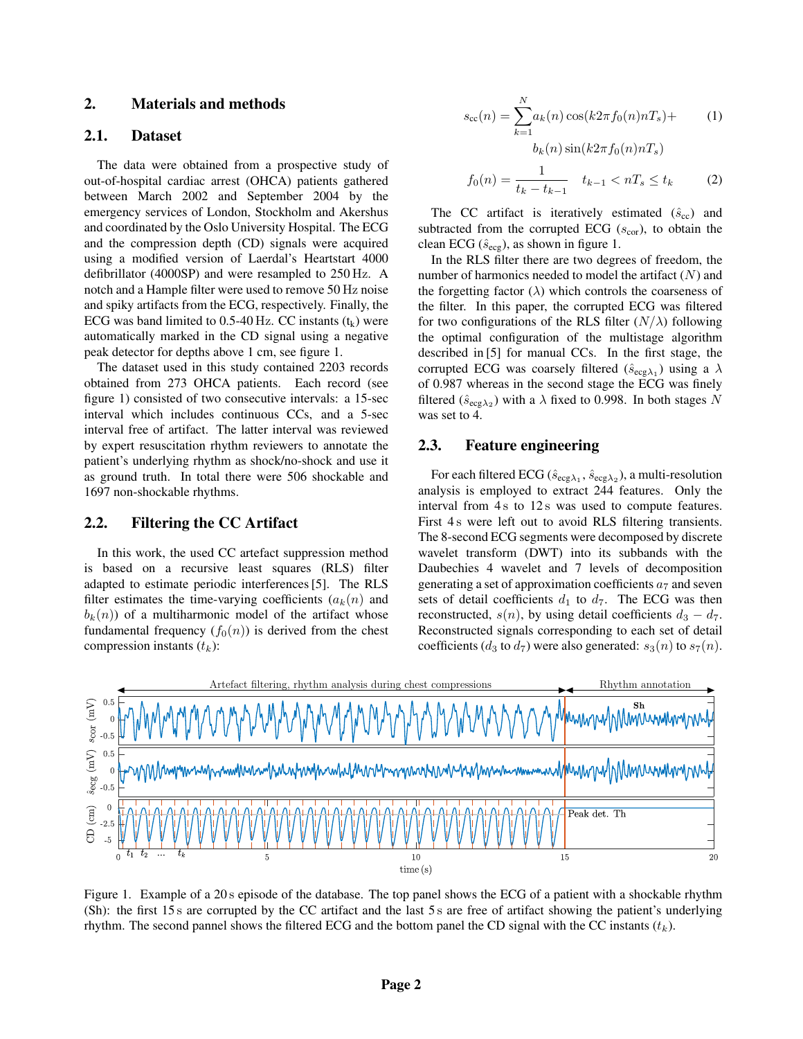# 2. Materials and methods

### 2.1. Dataset

The data were obtained from a prospective study of out-of-hospital cardiac arrest (OHCA) patients gathered between March 2002 and September 2004 by the emergency services of London, Stockholm and Akershus and coordinated by the Oslo University Hospital. The ECG and the compression depth (CD) signals were acquired using a modified version of Laerdal's Heartstart 4000 defibrillator (4000SP) and were resampled to 250 Hz. A notch and a Hample filter were used to remove 50 Hz noise and spiky artifacts from the ECG, respectively. Finally, the ECG was band limited to 0.5-40 Hz. CC instants  $(t_k)$  were automatically marked in the CD signal using a negative peak detector for depths above 1 cm, see figure 1.

The dataset used in this study contained 2203 records obtained from 273 OHCA patients. Each record (see figure 1) consisted of two consecutive intervals: a 15-sec interval which includes continuous CCs, and a 5-sec interval free of artifact. The latter interval was reviewed by expert resuscitation rhythm reviewers to annotate the patient's underlying rhythm as shock/no-shock and use it as ground truth. In total there were 506 shockable and 1697 non-shockable rhythms.

#### 2.2. Filtering the CC Artifact

In this work, the used CC artefact suppression method is based on a recursive least squares (RLS) filter adapted to estimate periodic interferences [5]. The RLS filter estimates the time-varying coefficients  $(a_k(n))$  and  $b_k(n)$  of a multiharmonic model of the artifact whose fundamental frequency  $(f_0(n))$  is derived from the chest compression instants  $(t_k)$ :

$$
s_{\text{cc}}(n) = \sum_{k=1}^{N} a_k(n) \cos(k2\pi f_0(n)nT_s) +
$$
  
\n
$$
b_k(n) \sin(k2\pi f_0(n)nT_s)
$$
  
\n
$$
f_0(n) = \frac{1}{t_k - t_{k-1}} \quad t_{k-1} < nT_s \le t_k
$$
\n(2)

The CC artifact is iteratively estimated  $(\hat{s}_{cc})$  and subtracted from the corrupted ECG  $(s_{cor})$ , to obtain the clean ECG ( $\hat{s}_{\text{ecg}}$ ), as shown in figure 1.

In the RLS filter there are two degrees of freedom, the number of harmonics needed to model the artifact  $(N)$  and the forgetting factor  $(\lambda)$  which controls the coarseness of the filter. In this paper, the corrupted ECG was filtered for two configurations of the RLS filter  $(N/\lambda)$  following the optimal configuration of the multistage algorithm described in [5] for manual CCs. In the first stage, the corrupted ECG was coarsely filtered  $(\hat{s}_{\text{ecg}\lambda_1})$  using a  $\lambda$ of 0.987 whereas in the second stage the ECG was finely filtered ( $\hat{s}_{\text{ecg}\lambda_2}$ ) with a  $\lambda$  fixed to 0.998. In both stages N was set to 4.

### 2.3. Feature engineering

For each filtered ECG ( $\hat{s}_{\text{ecg}\lambda_1}$ ,  $\hat{s}_{\text{ecg}\lambda_2}$ ), a multi-resolution analysis is employed to extract 244 features. Only the interval from 4s to 12s was used to compute features. First 4s were left out to avoid RLS filtering transients. The 8-second ECG segments were decomposed by discrete wavelet transform (DWT) into its subbands with the Daubechies 4 wavelet and 7 levels of decomposition generating a set of approximation coefficients  $a_7$  and seven sets of detail coefficients  $d_1$  to  $d_7$ . The ECG was then reconstructed,  $s(n)$ , by using detail coefficients  $d_3 - d_7$ . Reconstructed signals corresponding to each set of detail coefficients ( $d_3$  to  $d_7$ ) were also generated:  $s_3(n)$  to  $s_7(n)$ .



Figure 1. Example of a 20 s episode of the database. The top panel shows the ECG of a patient with a shockable rhythm (Sh): the first 15 s are corrupted by the CC artifact and the last 5 s are free of artifact showing the patient's underlying rhythm. The second pannel shows the filtered ECG and the bottom panel the CD signal with the CC instants  $(t_k)$ .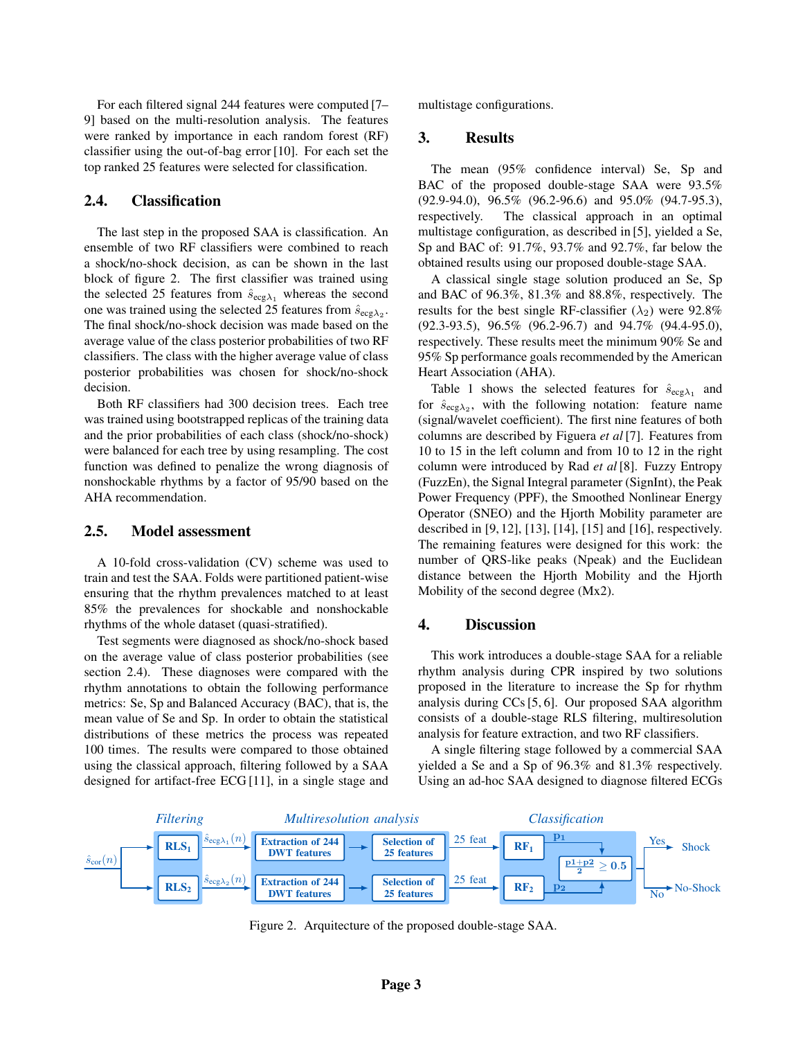For each filtered signal 244 features were computed [7– 9] based on the multi-resolution analysis. The features were ranked by importance in each random forest (RF) classifier using the out-of-bag error [10]. For each set the top ranked 25 features were selected for classification.

# 2.4. Classification

The last step in the proposed SAA is classification. An ensemble of two RF classifiers were combined to reach a shock/no-shock decision, as can be shown in the last block of figure 2. The first classifier was trained using the selected 25 features from  $\hat{s}_{\text{ecg}\lambda_1}$  whereas the second one was trained using the selected 25 features from  $\hat{s}_{ecg\lambda_2}$ . The final shock/no-shock decision was made based on the average value of the class posterior probabilities of two RF classifiers. The class with the higher average value of class posterior probabilities was chosen for shock/no-shock decision.

Both RF classifiers had 300 decision trees. Each tree was trained using bootstrapped replicas of the training data and the prior probabilities of each class (shock/no-shock) were balanced for each tree by using resampling. The cost function was defined to penalize the wrong diagnosis of nonshockable rhythms by a factor of 95/90 based on the AHA recommendation.

### 2.5. Model assessment

A 10-fold cross-validation (CV) scheme was used to train and test the SAA. Folds were partitioned patient-wise ensuring that the rhythm prevalences matched to at least 85% the prevalences for shockable and nonshockable rhythms of the whole dataset (quasi-stratified).

Test segments were diagnosed as shock/no-shock based on the average value of class posterior probabilities (see section 2.4). These diagnoses were compared with the rhythm annotations to obtain the following performance metrics: Se, Sp and Balanced Accuracy (BAC), that is, the mean value of Se and Sp. In order to obtain the statistical distributions of these metrics the process was repeated 100 times. The results were compared to those obtained using the classical approach, filtering followed by a SAA designed for artifact-free ECG [11], in a single stage and multistage configurations.

# 3. Results

The mean (95% confidence interval) Se, Sp and BAC of the proposed double-stage SAA were 93.5% (92.9-94.0), 96.5% (96.2-96.6) and 95.0% (94.7-95.3), respectively. The classical approach in an optimal multistage configuration, as described in [5], yielded a Se, Sp and BAC of: 91.7%, 93.7% and 92.7%, far below the obtained results using our proposed double-stage SAA.

A classical single stage solution produced an Se, Sp and BAC of 96.3%, 81.3% and 88.8%, respectively. The results for the best single RF-classifier  $(\lambda_2)$  were 92.8% (92.3-93.5), 96.5% (96.2-96.7) and 94.7% (94.4-95.0), respectively. These results meet the minimum 90% Se and 95% Sp performance goals recommended by the American Heart Association (AHA).

Table 1 shows the selected features for  $\hat{s}_{\text{ecg}\lambda_1}$  and for  $\hat{s}_{\text{ecg}\lambda_2}$ , with the following notation: feature name (signal/wavelet coefficient). The first nine features of both columns are described by Figuera *et al* [7]. Features from 10 to 15 in the left column and from 10 to 12 in the right column were introduced by Rad *et al* [8]. Fuzzy Entropy (FuzzEn), the Signal Integral parameter (SignInt), the Peak Power Frequency (PPF), the Smoothed Nonlinear Energy Operator (SNEO) and the Hjorth Mobility parameter are described in [9, 12], [13], [14], [15] and [16], respectively. The remaining features were designed for this work: the number of QRS-like peaks (Npeak) and the Euclidean distance between the Hjorth Mobility and the Hjorth Mobility of the second degree (Mx2).

# 4. Discussion

This work introduces a double-stage SAA for a reliable rhythm analysis during CPR inspired by two solutions proposed in the literature to increase the Sp for rhythm analysis during CCs [5, 6]. Our proposed SAA algorithm consists of a double-stage RLS filtering, multiresolution analysis for feature extraction, and two RF classifiers.

A single filtering stage followed by a commercial SAA yielded a Se and a Sp of 96.3% and 81.3% respectively. Using an ad-hoc SAA designed to diagnose filtered ECGs



Figure 2. Arquitecture of the proposed double-stage SAA.